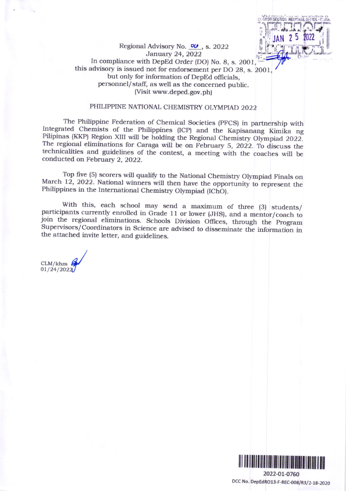

### Regional Advisory No.  $O\prime\prime$ , s. 2022 January 24, 2022 In compliance with DepEd Order (DO) No. 8, s. 2001, this advisory is issued not for endorsement per DO 28, s. 2001, but only for information of DepEd officials, personnel/staff, as well as the concerned public. (Visit www.deped.gov.ph)

## PHILIPPINE NATIONAL CHEMISTRY OLYMPIAD 2022

The Philippine Federation of Chemical Societies (PFCS) in partnership with Integrated Chemists of the Philippines (ICP) and the Kapisanang Kimika ng Pilipinas (KKP) Region XIII will be holding the Regional Chemistry Olympiad 2022. The regional eliminations for Caraga will be on February 5, 2022. To discuss the technicalities and guidelines of the contest, a meeting with the coaches will be conducted on February 2, 2022.

Top five (5) scorers will qualify to the National Chemistry Olympiad Finals on March 12, 2022. National winners will then have the opportunity to represent the Philippines in the International Chemistry Olympiad (IChO).

With this, each school may send a maximum of three (3) students/ participants currently enrolled in Grade 11 or lower (JHS), and a mentor/coach to join the regional eliminations. Schools Division Offices, through the Program Supervisors/Coordinators in Science are advised to disseminate the information in the attached invite letter, and guidelines.

 $CLM/khzs$ 01/24/2022



DCC No. DepEdRO13-F-REC-008/R3/2-18-2020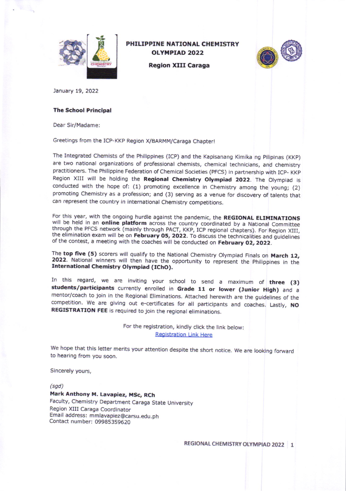

# PHILIPPINE NATIONAL CHEMISTRY OLYMPIAD 2022

**Region XIII Caraga** 



January 19, 2022

#### **The School Principal**

Dear Sir/Madame:

Greetings from the ICP-KKP Region X/BARMM/Caraga Chapter!

The Integrated Chemists of the Philippines (ICP) and the Kapisanang Kimika ng Pilipinas (KKP) are two national organizations of professional chemists, chemical technicians, and chemistry practitioners. The Philippine Federation of chemical societies (pFcs) in partnership with Icp- KKp Region XIII will be holding the Regional Chemistry Olympiad 2022. The Olympiad is conducted with the hope of: (1) promoting excellence in Chemistry among the young; (2) promoting chemistry as a profession; and (3) serving as a venue for discovery of talents that can represent the country in intemational chemistry competitions.

For this year, with the ongoing hurdle against the pandemic, the **REGIONAL ELIMINATIONS** will be held in an **online platform** across the country coordinated by a National Committee through the PFCS network (mainly through of the contest, a meeting with the coaches will be conducted on February 02, 2022.

The top five (5) scorers will qualify to the National Chemistry Olympiad Finals on March 12, 2022. National winners will then have the opportunity to represent the Philippines in the International Chemistry Olympiad (IChO)

In this regard, we are inviting your school to send a maximum of three (3) students/participants currently enrolled in Grade 11 or lower (Junior High) and a mentor/coach to join in the Regional Eliminations. Attached herewith are the guidelines of the competition. We are giving out e-certificates for all participants and coaches. Lastly, NO REGISTRATION FEE is required to join the regional eliminations.

> For the registration, kindly click the link below: Registration Link Here

We hope that this letter merits your attention despite the short notice. We are looking forward to hearing from you soon.

Sincerely yours,

 $(sgd)$ 

Mark Anthony M. Lavapiez, MSc, RCh Faculty, Chemistry Department Caraga State University Region XUI Caraga Coordinator Email address: mmlavaplez@carsu.edu.ph Contact number: 09985359620